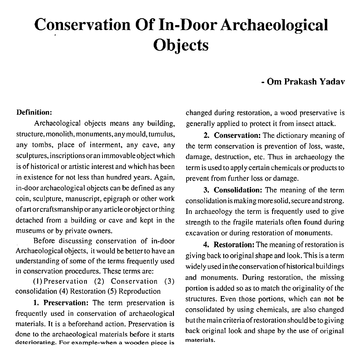# **Conservation Of In-Door Archaeological Objects**

### - **Om Prakash Yadav**

#### **Definition:**

Archaeological objects means any building, structure, monolith, monuments, any mould, tumulus, any tombs, place of interment, any cave, any sculptures, inscriptions or an immovable object which is of historical or artistic interest and which has been in existence for not less than hundred years. Again, in-door archaeological objects can be defined as any coin, sculpture, manuscript, epigraph or other work ofart orcraftsmanshipor any articleorobject orthing detached from a building or cave and kept in the museums or by private owners.

Before discussing conservation of in-door Archaeological objects, it would be better to have an understanding of some of the terms frequently used in conservation procedures. These terms are:

(I) Preservation (2) Conservation **(3)**  consolidation (4) Restoration (5) Reproduction

**1. Preservation:** The term preservation is frequently used in conservation of archaeological materials. It is a beforehand action. Preservation is done to the archaeological materials before it starts **deteriorating. For example-when a wooden piece is** 

changed during restoration, a wood preservative is generally applied to protect it from insect attack.

**2. Conservation:** The dictionary meaning of the term conservation is prevention of loss, waste, damage, destruction, etc. Thus in archaeology the term is used to apply certain chemicals or products to prevent from further loss or damage.

**3. Consolidation:** The meaning of the term consolidation is making more solid, secure and strong. In archaeology the term is frequently used to give strength to the fragile materials often found during excavation or during restoration of monuments.

**4. Restoration:** The meaning of restoration is giving back tooriginal shape and look. This is a term widely used in the conservation of historical buildings and monuments. During restoration, the missing portion is added so as to match the originality of the structures. Even those portions, which can not be consolidated by using chemicals, are also changed but the main criteria of restoration should be to giving back original look and shape by the use of original **materials.**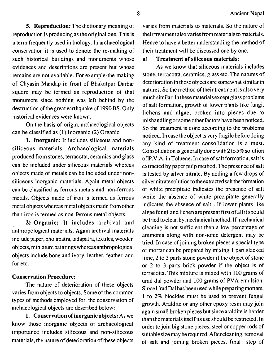**5. Reproduction:** The dictionary meaning of reproduction is producing as the original one. This is a term frequently used in biology. In archaeological conservation it is used to denote the re-making of such historical buildings and monuments whose evidences and descriptions are present but whose remains are not available. For example-the making of Chyasin Mandap in front of Bhakatpur Darbar square may be termed as reproduction of that monument since nothing was left behind by the destruction of the great earthquake of 1990 BS. Only historical evidences were known.

On the basis of origin, archaeological objects can be classified as **(1)** Inorganic (2) Organic

**1. Inorganic:** It includes siliceous and nonsiliceous materials. Archaeological materials produced from stones, terracotta, ceramics and glass can be included under siliceous materials whereas objects made of metals can be included under nonsiliceous inorganic materials. Again metal objects can be classified as ferrous metals and non-ferrous metals. Objects made of iron is termed as ferrous metal objects whereas metal objects made from other than iron is termed as non-ferrous metal objects.

**2) Organic:** It includes archival and anthropological materials. Again archival materials include paper, bhojapatra, tadapatra, textiles, wooden objects, miniature paintings whereas anthropological objects include bone and ivory, leather, feather and fur etc.

#### **Conservation Procedure:**

The nature of deterioration of these objects varies from objects to objects. Some of the common types of methods employed for the conservation of archaeological objects are described below:

**1. Conservation of inorganic objects:** As we know those inorganic objects of archaeological importance includes siliceous and non-siliceous materials, the nature of deterioration of these objects

varies from materials to materials. So the nature of their treatment also varies from materials to materials. Hence to have a better understanding the method of their treatment will be discussed one by one.

#### **a) Treatment of siliceous materials:**

As we know that siliceous materials includes stone, terracotta, ceramics, glass etc. The natures of deterioration in these objects are somewhat similar in natures. So the method of their treatment is also very much similar. In these materials except glass problems of salt formation, growth of lower plants like fungi, lichens and algae, broken into pieces due to mishandlingor some other factors have been noticed. So the treatment is done according to the problems noticed. In case the object is very fragile before doing any kind of treatment consolidation is a must. Consolidation is generally done with  $2$  to  $5\%$  solution of P.V.A. in Toluene. In case of salt formation, salt is extracted by paper pulp method. The presence of salt is tested by silver nitrate. By adding a few drops of silver nitratesolution to theextracted salt the formation of white precipitate indicates the presence of salt while the absence of white precipitate generally indicates the absence of salt . If lower plants like algae fungi and lichen are present first of all it should be tried toclean by mechanical method. If mechanical cleaning is not sufficient then a low percentage of ammonia along with non-ionic detergent may be tried. In case of joining broken pieces a special type of mortar can be prepared by mixing 1 part slacked lime, 2 to **3** parts stone powder if the object of stone or 2 to **3** parts brick powder if the object is of terracotta. This mixture is mixed with 100 grams of urad dal powder and 100 grams of PVA emulsion. Since Urad Dal has been used while preparing mortars, 1 to 2% biocides must be used to prevent fungal growth. Araldite or any other epoxy resin may join again small broken pieces but since araldite is harder than the materials itself its use should be restricted. In order to join big stone pieces, steel or copper rods of suitablesize may berequired. Aftercleaning, removal of salt and joining broken pieces, final step of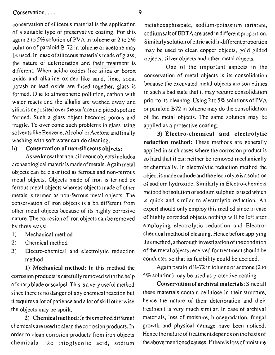conservation of siliceous material is the application metahexaphospate, sodium-potassium tartarate, of a suitable type of preservative coating. For this sodium salt of EDTA are used in different proportion.<br>again 2 to 5% solution of PVA in toluene or 2 to 5% similarly solution of citric acid in different proportion be used. In case of siliccous materials made of glass, the nature of deterioration and their treatment is again 2 to 5% solution of PVA in toluene or 2 to 5% Similarly solution of citric acid in different proportion<br>solution of paraloid B-72 in toluene or acetone may see the used to clean conner objects, rold cilded solution of paraloid B-72 in toluene or acetone may<br>be used to clean copper objects, gold gilded<br>be used. In case of siliccous materials made of glass,<br>the nature of deterioration and their treatment is<br>different. When aci conservation of metal objects is its consolidation<br>oxide and alkaline oxides like sand, lime, soda,<br>because the excavated metal objects are sometimes potash or lead oxide are fused together, glass is formed. Due to atmospheric pollution, carbon with in such a bad state that it may require consolidation water reacts and the alkalis are washed away and silica is deposited over the surface and pitted spot are formed. Such a glass object becomes porous and fragile. To over come such problems in glass using solvents like Benzene, Alcohol or Acetone and finally washing with soft water can do cleaning.

#### b) Conservation of non-siliceous objects:

As we know that non-siliceous objects includes archaeological materials made of metals. Again metal objects can be classified as ferrous and non-ferrous metal objects. Objects made of iron is termed as ferrous metal objects whereas objects made of other metals is termed as non-ferrous metal objects. The conservation of iron objects is a bit different from other metal objects because of its highly corrosive nature. The corrosion of iron objects can be removed by three ways:

- 1) Mechanical method
- 2) Chemical method
- **3)** Electro-chemical and electrolytic reduction method

**1)** Mechanical method: In this method the corrosion products iscarefully removed with the help of sharp blade or scalpel. This is a very useful method since there is no danger of any chemical reaction but it requires a lot of patience and a lot of skill otherwise the objects may be spoilt.

2) Chemical method: In this method different chemicals are used to clean the corrosion products. In order to clean corrosion products from iron objects chemicals like thioglycolic acid, sodium

prior to its cleaning. Using 2 to 5% solutions of PVA or paraloid B72 in toluene may do the consolidation of the metal objects. The same solution may be applied as a protective coating.

**3)** Electro-chemical and electrolytic reduction method: These methods are generally applied in such cases where the corrosion product is so hard that it can neither be removed mechanically or chemically. In electrolytic reduction method the object is madecathodeand theelectrolyte is asolution of sodium hydroxide. Similarly in Electro-chemical method hot solution of sodium sulphite is used which is quick and similar to electrolytic reduction. An expert should only employ this method since in case of highly corroded objects nothing will be left after employing electrolytic reduction and Electrochemical method of cleaning. Hence before applying this method, a thorough investigation of the condition of the metal objects received for treatment should be conducted so that its fusibility could be decided.

Again paraloid B-72 in toluene or acetone (2 to 5% solution) may be used as protective coating.

Conservation of archival materials: Since all these materials contain cellulose in their structure, hence the nature of their deterioration and their treatment is very much similar. In case of archival materials, loss of moisture, biodegradation, fungal growth and physical damage have been noticed. Hence the nature of treatment depends on the basis of the above mentioned causes. If there is loss of moisture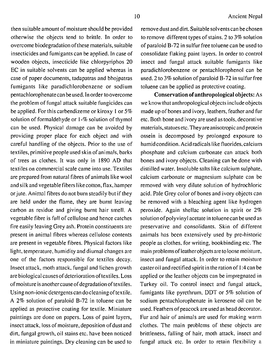then suitable amount of moisture should be provided otherwise the objects tend to brittle. In order to overcome biodegradation of these materials, suitable insecticides and fumigants can be applied. In case of wooden objects, insecticide like chlorpyriphos 20 EC in suitable solvents can be applied whereas in case of paper documents, tadapatras and bhojpatras fumigants like paradichlorobenzene or sodium pentachlorophenate can be used. In order to overcome the problem of fungal attack suitable fungicides can be applied. For this carbendizeme or kiroxy I or *5%*  solution of formaldehyde or 1-% solution of thymol can be used. Physical damage can be avoided by providing proper place for each object and with careful handling of the objects. Prior to the use of textiles, primitive people used skin of animals, barks of trees as clothes. It was only in 1890 AD that textiles on commercial scale came into use. Textiles are prepared from natural fibres of animals like wool andsilk and vegetable fibers Iikecotton, flax, hamper or jute. Animal fibres do not burn steadily but if they are held under the flame, they are burnt leaving carbon as residue and giving burnt hair smell. A vegetable fibre is full of cellulose and hence catches fire easily leaving Grey ash. Protein constituents are present in animal fibres whereas cellulose contents are present in vegetable fibres. Physical factors like light, temperature, humidity and diurnal changes are one of the factors responsible for textiles decay. Insect attack, moth attack, fungal and lichen growth are biological causes of deterioration of textiles. Loss of moisture is another cause of degradation of textiles. Using non-ionic detergents can do cleaning of textile. A 2% solution of paraloid B-72 in toluene can be applied as protective coating for textile. Miniature paintings are done on papers. Loss of paint layers, insect attack, loss of moisture, deposition of dust and dirt, fungal growth, oil stains etc. have been noticed in miniature paintings. Dry cleaning can be used to

remove dust and dirt. Suitable solvents can be chosen to remove different types of stains. *2* to **3%** solution of paraloid B-72 in sulfur free toluene can be used to consolidate flaking paint layers. In order to control insect and fungal attack suitable fumigants like paradichlorobenzene or pentachlorophenol can be used. *2* to 3% solution of paraloid B-72 in sulfur free toluene can be applied as protective coating.

**Conservation of anthropological ob.jects: As**  we know that anthropological objects include objects made up of bones and ivory, leathers, feather and fur etc. Both bone and ivory are used as tools, decorative materials, statues etc. They are anisotropic and protein ossein is decomposed by prolonged exposure to humid condition. Acid radicals like fluorides, calcium phosphate and calcium carbonate can attack both bones and ivory objects. Cleaning can be done with distilled water. Insoluble salts like calcium sulphate. calcium carbonate or magnesium sulphate can be removed with very dilute solution of hydrochloric acid. Pale Grey color of bones and ivory objects can be removed with a bleaching agent like hydrogen peroxide. Again shellac solution in spirit or *2%*  solution of polyvinyl acetate in toluene can be used as preservative and consolidants. Skin of different animals has been extensively used by pre-historic people as clothes, for writing, bookbinding etc. The main problemsof leatherobjects aretoloose moisture, insect and fungal attack. In order to retain moisture caster oil and rectified spirit in the ration of I :4 can be applied or the leather objects can be impregnated in Turkey oil. To control insect and fungal attack, fumigants like pyrethrum, DDT or *5%* solution of sodium pentachlorophenate in kerosene oil can be used. Feathers of peacock are used as head decorator. Fur and hair of animals are used for making warm clothes. The main problems of these objects are brittleness, falling of hair, moth attack, insect and fungal attack etc. In order to retain flexibility a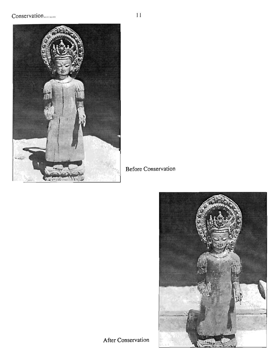

**Before Conservation** 



After Conservation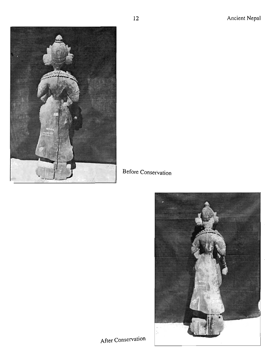

# Before Conservation



# After Conservation